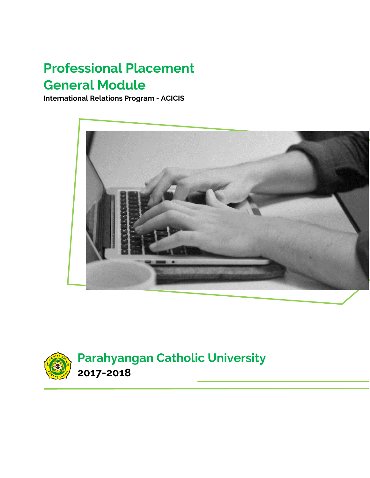# **Professional Placement General Module**

**International Relations Program - ACICIS**



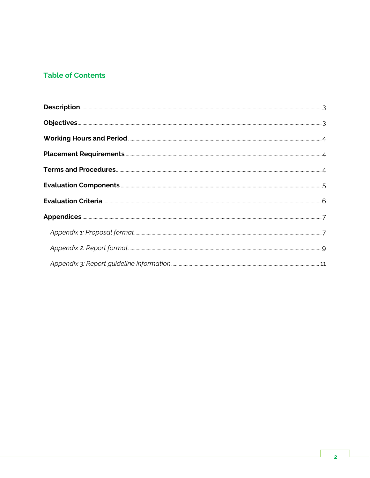# **Table of Contents**

| Working Hours and Period <b>Commission Contract Contract Contract Contract Contract Contract Contract Contract Contract Contract Contract Contract Contract Contract Contract Contract Contract Contract Contract Contract Contr</b> |  |
|--------------------------------------------------------------------------------------------------------------------------------------------------------------------------------------------------------------------------------------|--|
|                                                                                                                                                                                                                                      |  |
|                                                                                                                                                                                                                                      |  |
|                                                                                                                                                                                                                                      |  |
|                                                                                                                                                                                                                                      |  |
|                                                                                                                                                                                                                                      |  |
|                                                                                                                                                                                                                                      |  |
|                                                                                                                                                                                                                                      |  |
|                                                                                                                                                                                                                                      |  |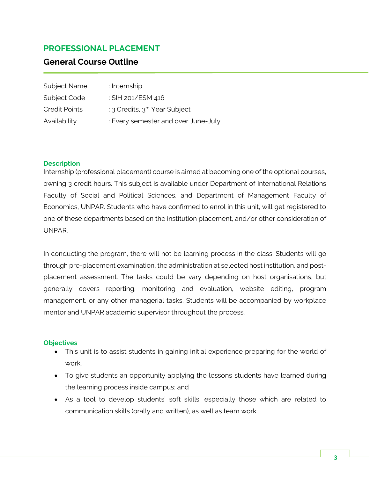# **PROFESSIONAL PLACEMENT**

# **General Course Outline**

| Subject Name         | : Internship                              |
|----------------------|-------------------------------------------|
| Subject Code         | : SIH 201/ESM 416                         |
| <b>Credit Points</b> | : 3 Credits, 3 <sup>rd</sup> Year Subject |
| Availability         | : Every semester and over June-July       |

#### <span id="page-2-0"></span>**Description**

Internship (professional placement) course is aimed at becoming one of the optional courses, owning 3 credit hours. This subject is available under Department of International Relations Faculty of Social and Political Sciences, and Department of Management Faculty of Economics, UNPAR. Students who have confirmed to enrol in this unit, will get registered to one of these departments based on the institution placement, and/or other consideration of UNPAR.

In conducting the program, there will not be learning process in the class. Students will go through pre-placement examination, the administration at selected host institution, and postplacement assessment. The tasks could be vary depending on host organisations, but generally covers reporting, monitoring and evaluation, website editing, program management, or any other managerial tasks. Students will be accompanied by workplace mentor and UNPAR academic supervisor throughout the process.

#### <span id="page-2-1"></span>**Objectives**

- This unit is to assist students in gaining initial experience preparing for the world of work;
- To give students an opportunity applying the lessons students have learned during the learning process inside campus; and
- As a tool to develop students' soft skills, especially those which are related to communication skills (orally and written), as well as team work.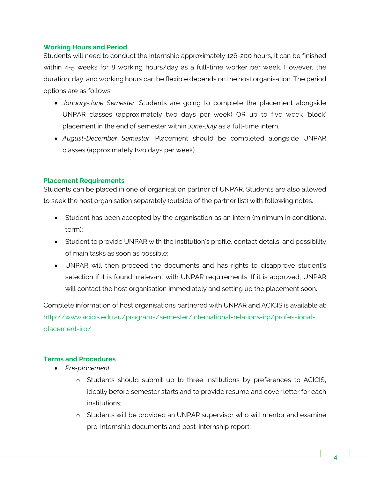#### <span id="page-3-0"></span>**Working Hours and Period**

Students will need to conduct the internship approximately 126-200 hours, It can be finished within 4-5 weeks for 8 working hours/day as a full-time worker per week. However, the duration, day, and working hours can be flexible depends on the host organisation. The period options are as follows:

- *January-June Semester.* Students are going to complete the placement alongside UNPAR classes (approximately two days per week) OR up to five week 'block' placement in the end of semester within *June-July* as a full-time intern.
- *August-December Semester*. Placement should be completed alongside UNPAR classes (approximately two days per week).

#### <span id="page-3-1"></span>**Placement Requirements**

Students can be placed in one of organisation partner of UNPAR. Students are also allowed to seek the host organisation separately (outside of the partner list) with following notes.

- Student has been accepted by the organisation as an intern (minimum in conditional term);
- Student to provide UNPAR with the institution's profile, contact details, and possibility of main tasks as soon as possible;
- UNPAR will then proceed the documents and has rights to disapprove student's selection if it is found irrelevant with UNPAR requirements. If it is approved, UNPAR will contact the host organisation immediately and setting up the placement soon.

Complete information of host organisations partnered with UNPAR and ACICIS is available at: [http://www.acicis.edu.au/programs/semester/international-relations-irp/professional](http://www.acicis.edu.au/programs/semester/international-relations-irp/professional-placement-irp/)[placement-irp/](http://www.acicis.edu.au/programs/semester/international-relations-irp/professional-placement-irp/)

# <span id="page-3-2"></span>**Terms and Procedures**

- *Pre-placement*
	- o Students should submit up to three institutions by preferences to ACICIS, ideally before semester starts and to provide resume and cover letter for each institutions;
	- o Students will be provided an UNPAR supervisor who will mentor and examine pre-internship documents and post-internship report;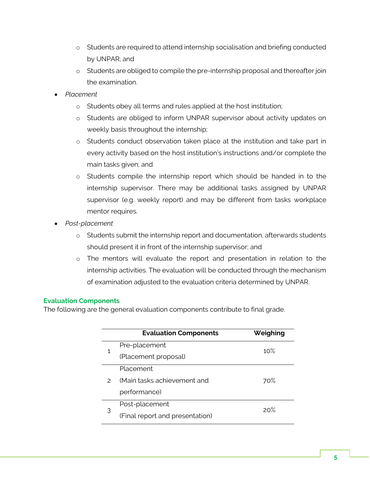- o Students are required to attend internship socialisation and briefing conducted by UNPAR; and
- o Students are obliged to compile the pre-internship proposal and thereafter join the examination.
- *Placement*
	- o Students obey all terms and rules applied at the host institution;
	- o Students are obliged to inform UNPAR supervisor about activity updates on weekly basis throughout the internship;
	- o Students conduct observation taken place at the institution and take part in every activity based on the host institution's instructions and/or complete the main tasks given; and
	- o Students compile the internship report which should be handed in to the internship supervisor. There may be additional tasks assigned by UNPAR supervisor (e.g. weekly report) and may be different from tasks workplace mentor requires.
- *Post-placement*
	- o Students submit the internship report and documentation, afterwards students should present it in front of the internship supervisor; and
	- o The mentors will evaluate the report and presentation in relation to the internship activities. The evaluation will be conducted through the mechanism of examination adjusted to the evaluation criteria determined by UNPAR.

# <span id="page-4-0"></span>**Evaluation Components**

The following are the general evaluation components contribute to final grade.

|               | <b>Evaluation Components</b>    | Weighing |  |
|---------------|---------------------------------|----------|--|
| 1             | Pre-placement                   | 10%      |  |
|               | (Placement proposal)            |          |  |
| $\mathcal{P}$ | Placement                       |          |  |
|               | (Main tasks achievement and     | 70%      |  |
|               | performance)                    |          |  |
| 3             | Post-placement                  | 20%      |  |
|               | (Final report and presentation) |          |  |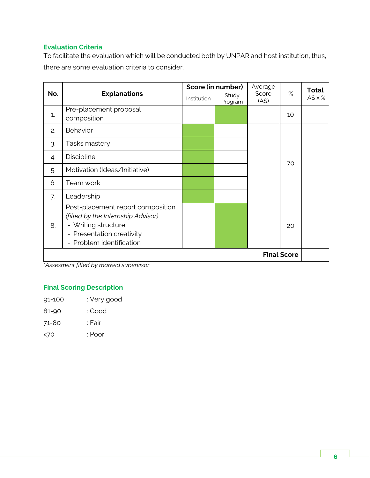# <span id="page-5-0"></span>**Evaluation Criteria**

To facilitate the evaluation which will be conducted both by UNPAR and host institution, thus, there are some evaluation criteria to consider.

| No.                | <b>Explanations</b>                                                                                                                                     | Score (in number) |                  | Average       |      | <b>Total</b>   |
|--------------------|---------------------------------------------------------------------------------------------------------------------------------------------------------|-------------------|------------------|---------------|------|----------------|
|                    |                                                                                                                                                         | Institution       | Study<br>Program | Score<br>(AS) | $\%$ | $AS \times \%$ |
| 1.                 | Pre-placement proposal<br>composition                                                                                                                   |                   |                  |               | 10   |                |
| 2.                 | Behavior                                                                                                                                                |                   |                  |               | 70   |                |
| 3.                 | Tasks mastery                                                                                                                                           |                   |                  |               |      |                |
| 4.                 | Discipline                                                                                                                                              |                   |                  |               |      |                |
| 5.                 | Motivation (Ideas/Initiative)                                                                                                                           |                   |                  |               |      |                |
| 6.                 | Team work                                                                                                                                               |                   |                  |               |      |                |
| 7.                 | Leadership                                                                                                                                              |                   |                  |               |      |                |
| 8.                 | Post-placement report composition<br>(filled by the Internship Advisor)<br>- Writing structure<br>- Presentation creativity<br>- Problem identification |                   |                  |               | 20   |                |
| <b>Final Score</b> |                                                                                                                                                         |                   |                  |               |      |                |

*\*Assesment filled by marked supervisor*

# **Final Scoring Description**

- 91-100 : Very good
- 81-90 : Good
- 71-80 : Fair
- <70 : Poor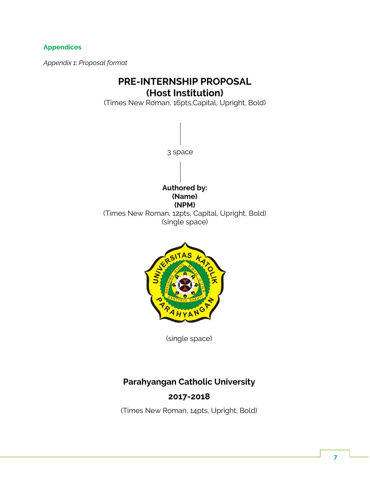# <span id="page-6-1"></span><span id="page-6-0"></span>**Appendices**

*Appendix 1: Proposal format*

# **PRE-INTERNSHIP PROPOSAL (Host Institution)**

(Times New Roman, 16pts,Capital, Upright, Bold)



AHY

(single space)

# **Parahyangan Catholic University**

# **2017-2018**

(Times New Roman, 14pts, Upright, Bold)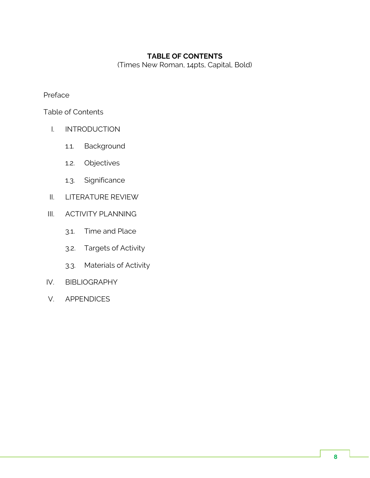# **TABLE OF CONTENTS**

(Times New Roman, 14pts, Capital, Bold)

Preface

Table of Contents

- I. INTRODUCTION
	- 1.1. Background
	- 1.2. Objectives
	- 1.3. Significance
- II. LITERATURE REVIEW
- III. ACTIVITY PLANNING
	- 3.1. Time and Place
	- 3.2. Targets of Activity
	- 3.3. Materials of Activity
- IV. BIBLIOGRAPHY
- V. APPENDICES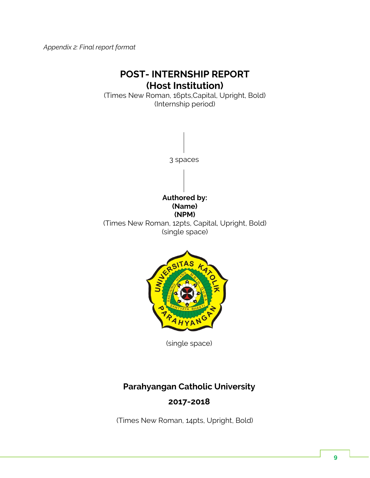<span id="page-8-0"></span>*Appendix 2: Final report format*

# **POST- INTERNSHIP REPORT (Host Institution)**

(Times New Roman, 16pts,Capital, Upright, Bold) (Internship period)



(single space)

# **Parahyangan Catholic University 2017-2018**

(Times New Roman, 14pts, Upright, Bold)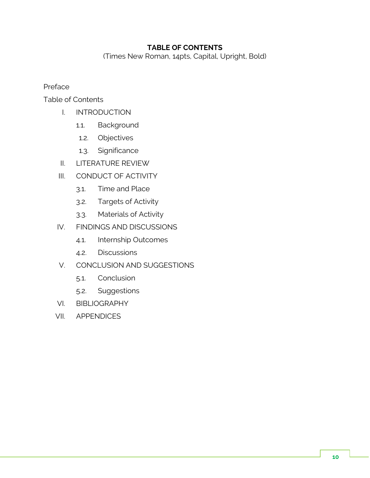# **TABLE OF CONTENTS**

(Times New Roman, 14pts, Capital, Upright, Bold)

Preface

Table of Contents

- I. INTRODUCTION
	- 1.1. Background
	- 1.2. Objectives
	- 1.3. Significance
- II. LITERATURE REVIEW
- III. CONDUCT OF ACTIVITY
	- 3.1. Time and Place
	- 3.2. Targets of Activity
	- 3.3. Materials of Activity
- IV. FINDINGS AND DISCUSSIONS
	- 4.1. Internship Outcomes
	- 4.2. Discussions
- V. CONCLUSION AND SUGGESTIONS
	- 5.1. Conclusion
	- 5.2. Suggestions
- VI. BIBLIOGRAPHY
- VII. APPENDICES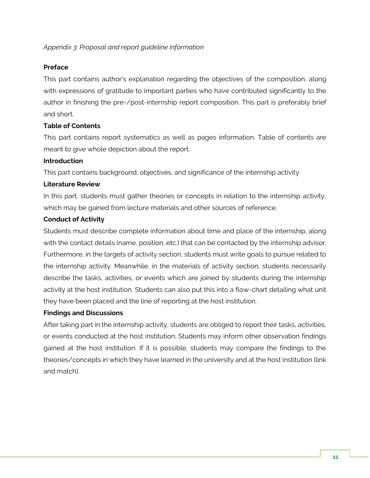# <span id="page-10-0"></span>*Appendix 3: Proposal and report guideline information*

#### **Preface**

This part contains author's explanation regarding the objectives of the composition, along with expressions of gratitude to important parties who have contributed significantly to the author in finishing the pre-/post-internship report composition. This part is preferably brief and short.

# **Table of Contents**

This part contains report systematics as well as pages information. Table of contents are meant to give whole depiction about the report.

# **Introduction**

This part contains background, objectives, and significance of the internship activity.

# **Literature Review**

In this part, students must gather theories or concepts in relation to the internship activity, which may be gained from lecture materials and other sources of reference.

# **Conduct of Activity**

Students must describe complete information about time and place of the internship, along with the contact details (name, position, etc.) that can be contacted by the internship advisor. Furthermore, in the targets of activity section, students must write goals to pursue related to the internship activity. Meanwhile, in the materials of activity section, students necessarily describe the tasks, activities, or events which are joined by students during the internship activity at the host institution. Students can also put this into a flow-chart detailing what unit they have been placed and the line of reporting at the host institution.

# **Findings and Discussions**

After taking part in the internship activity, students are obliged to report their tasks, activities, or events conducted at the host institution. Students may inform other observation findings gained at the host institution. If it is possible, students may compare the findings to the theories/concepts in which they have learned in the university and at the host institution (link and match).